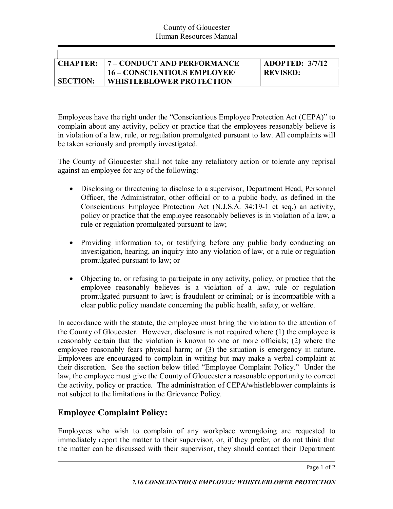| <b>CHAPTER:</b> | 7 – CONDUCT AND PERFORMANCE     | ADOPTED: 3/7/12 |
|-----------------|---------------------------------|-----------------|
|                 | 16 – CONSCIENTIOUS EMPLOYEE/    | <b>REVISED:</b> |
| <b>SECTION:</b> | <b>WHISTLEBLOWER PROTECTION</b> |                 |

Employees have the right under the "Conscientious Employee Protection Act (CEPA)" to complain about any activity, policy or practice that the employees reasonably believe is in violation of a law, rule, or regulation promulgated pursuant to law. All complaints will be taken seriously and promptly investigated.

The County of Gloucester shall not take any retaliatory action or tolerate any reprisal against an employee for any of the following:

- · Disclosing or threatening to disclose to a supervisor, Department Head, Personnel Officer, the Administrator, other official or to a public body, as defined in the Conscientious Employee Protection Act (N.J.S.A. 34:19-1 et seq.) an activity, policy or practice that the employee reasonably believes is in violation of a law, a rule or regulation promulgated pursuant to law;
- Providing information to, or testifying before any public body conducting an investigation, hearing, an inquiry into any violation of law, or a rule or regulation promulgated pursuant to law; or
- Objecting to, or refusing to participate in any activity, policy, or practice that the employee reasonably believes is a violation of a law, rule or regulation promulgated pursuant to law; is fraudulent or criminal; or is incompatible with a clear public policy mandate concerning the public health, safety, or welfare.

In accordance with the statute, the employee must bring the violation to the attention of the County of Gloucester. However, disclosure is not required where (1) the employee is reasonably certain that the violation is known to one or more officials; (2) where the employee reasonably fears physical harm; or (3) the situation is emergency in nature. Employees are encouraged to complain in writing but may make a verbal complaint at their discretion. See the section below titled "Employee Complaint Policy." Under the law, the employee must give the County of Gloucester a reasonable opportunity to correct the activity, policy or practice. The administration of CEPA/whistleblower complaints is not subject to the limitations in the Grievance Policy.

## **Employee Complaint Policy:**

Employees who wish to complain of any workplace wrongdoing are requested to immediately report the matter to their supervisor, or, if they prefer, or do not think that the matter can be discussed with their supervisor, they should contact their Department